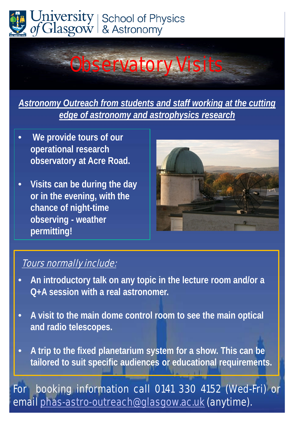



*Astronomy Outreach from students and staff working at the cutting edge of astronomy and astrophysics research*

- **We provide tours of our operational research observatory at Acre Road.**
- **Visits can be during the day or in the evening, with the chance of night-time observing - weather permitting!**



## Tours normally include:

- **An introductory talk on any topic in the lecture room and/or a Q+A session with a real astronomer.**
- **A visit to the main dome control room to see the main optical and radio telescopes.**
- **A trip to the fixed planetarium system for a show. This can be tailored to suit specific audiences or educational requirements.**

For booking information call 0141 330 4152 (Wed-Fri) or email [phas-astro-outreach@glasgow.ac.uk](mailto:phas-astro-outreach@glasgow.ac.uk) (anytime).